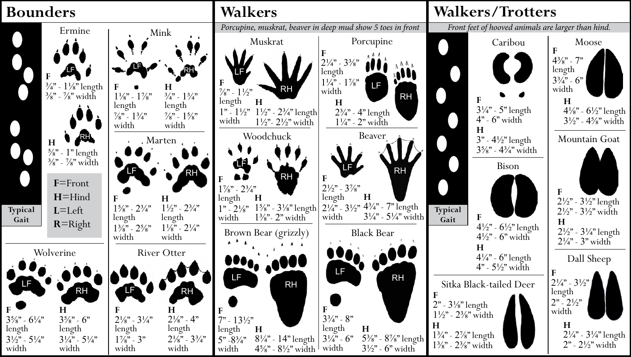## **Bounders**





 $8\frac{1}{4}$ " - 14" length  $3\frac{1}{4}$ " - 6"<br>45%" - 8½" width width

 $4\frac{5}{8}$ " -  $8\frac{1}{2}$ " width width

**H**

**H**

 $3\frac{1}{2}$ " - 6" width

RH

jU